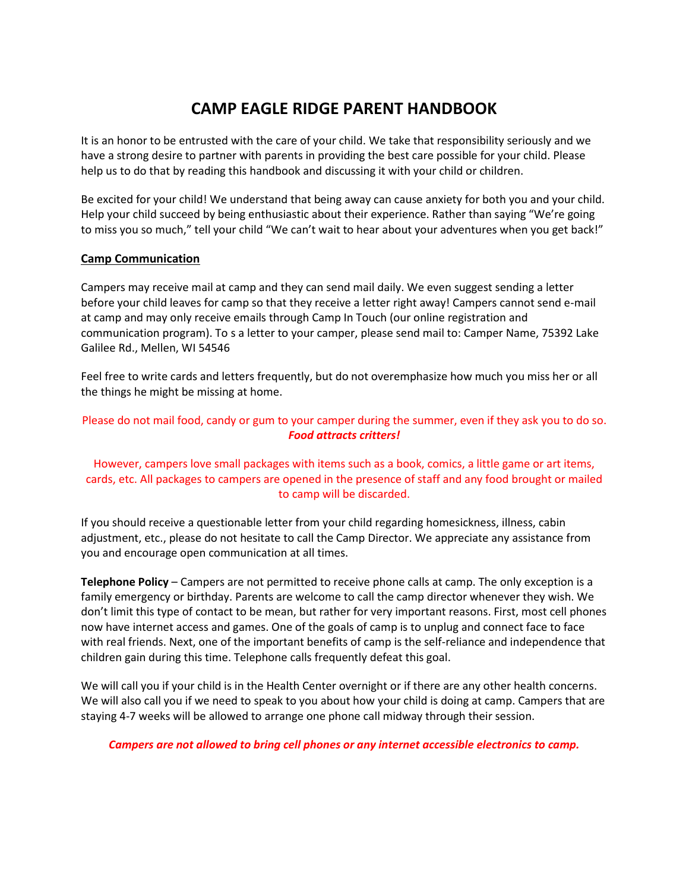# **CAMP EAGLE RIDGE PARENT HANDBOOK**

It is an honor to be entrusted with the care of your child. We take that responsibility seriously and we have a strong desire to partner with parents in providing the best care possible for your child. Please help us to do that by reading this handbook and discussing it with your child or children.

Be excited for your child! We understand that being away can cause anxiety for both you and your child. Help your child succeed by being enthusiastic about their experience. Rather than saying "We're going to miss you so much," tell your child "We can't wait to hear about your adventures when you get back!"

## **Camp Communication**

Campers may receive mail at camp and they can send mail daily. We even suggest sending a letter before your child leaves for camp so that they receive a letter right away! Campers cannot send e-mail at camp and may only receive emails through Camp In Touch (our online registration and communication program). To s a letter to your camper, please send mail to: Camper Name, 75392 Lake Galilee Rd., Mellen, WI 54546

Feel free to write cards and letters frequently, but do not overemphasize how much you miss her or all the things he might be missing at home.

Please do not mail food, candy or gum to your camper during the summer, even if they ask you to do so. *Food attracts critters!* 

## However, campers love small packages with items such as a book, comics, a little game or art items, cards, etc. All packages to campers are opened in the presence of staff and any food brought or mailed to camp will be discarded.

If you should receive a questionable letter from your child regarding homesickness, illness, cabin adjustment, etc., please do not hesitate to call the Camp Director. We appreciate any assistance from you and encourage open communication at all times.

**Telephone Policy** – Campers are not permitted to receive phone calls at camp. The only exception is a family emergency or birthday. Parents are welcome to call the camp director whenever they wish. We don't limit this type of contact to be mean, but rather for very important reasons. First, most cell phones now have internet access and games. One of the goals of camp is to unplug and connect face to face with real friends. Next, one of the important benefits of camp is the self-reliance and independence that children gain during this time. Telephone calls frequently defeat this goal.

We will call you if your child is in the Health Center overnight or if there are any other health concerns. We will also call you if we need to speak to you about how your child is doing at camp. Campers that are staying 4-7 weeks will be allowed to arrange one phone call midway through their session.

*Campers are not allowed to bring cell phones or any internet accessible electronics to camp.*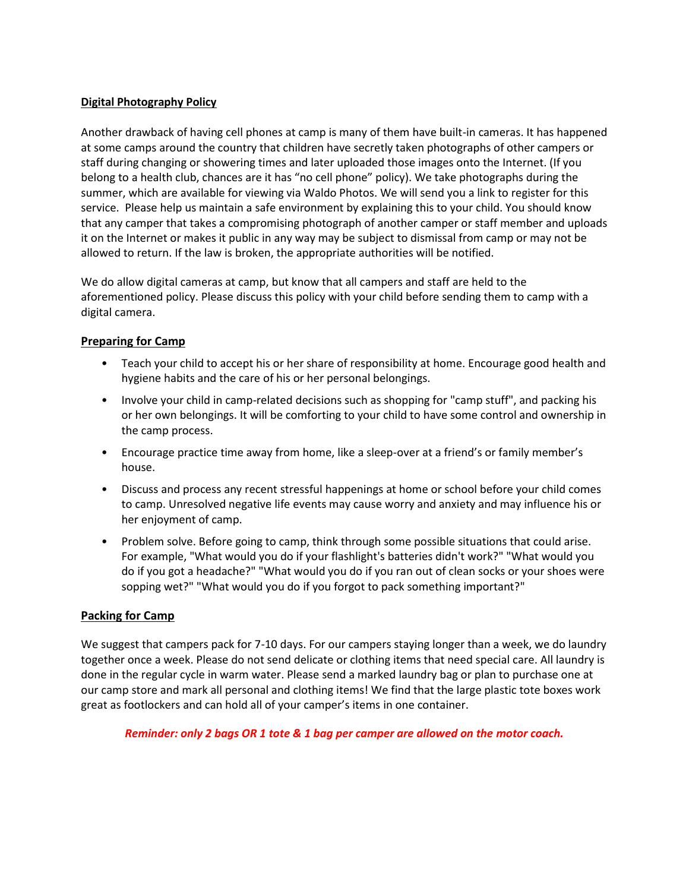#### **Digital Photography Policy**

Another drawback of having cell phones at camp is many of them have built-in cameras. It has happened at some camps around the country that children have secretly taken photographs of other campers or staff during changing or showering times and later uploaded those images onto the Internet. (If you belong to a health club, chances are it has "no cell phone" policy). We take photographs during the summer, which are available for viewing via Waldo Photos. We will send you a link to register for this service. Please help us maintain a safe environment by explaining this to your child. You should know that any camper that takes a compromising photograph of another camper or staff member and uploads it on the Internet or makes it public in any way may be subject to dismissal from camp or may not be allowed to return. If the law is broken, the appropriate authorities will be notified.

We do allow digital cameras at camp, but know that all campers and staff are held to the aforementioned policy. Please discuss this policy with your child before sending them to camp with a digital camera.

# **Preparing for Camp**

- Teach your child to accept his or her share of responsibility at home. Encourage good health and hygiene habits and the care of his or her personal belongings.
- Involve your child in camp-related decisions such as shopping for "camp stuff", and packing his or her own belongings. It will be comforting to your child to have some control and ownership in the camp process.
- Encourage practice time away from home, like a sleep-over at a friend's or family member's house.
- Discuss and process any recent stressful happenings at home or school before your child comes to camp. Unresolved negative life events may cause worry and anxiety and may influence his or her enjoyment of camp.
- Problem solve. Before going to camp, think through some possible situations that could arise. For example, "What would you do if your flashlight's batteries didn't work?" "What would you do if you got a headache?" "What would you do if you ran out of clean socks or your shoes were sopping wet?" "What would you do if you forgot to pack something important?"

# **Packing for Camp**

We suggest that campers pack for 7-10 days. For our campers staying longer than a week, we do laundry together once a week. Please do not send delicate or clothing items that need special care. All laundry is done in the regular cycle in warm water. Please send a marked laundry bag or plan to purchase one at our camp store and mark all personal and clothing items! We find that the large plastic tote boxes work great as footlockers and can hold all of your camper's items in one container.

#### *Reminder: only 2 bags OR 1 tote & 1 bag per camper are allowed on the motor coach.*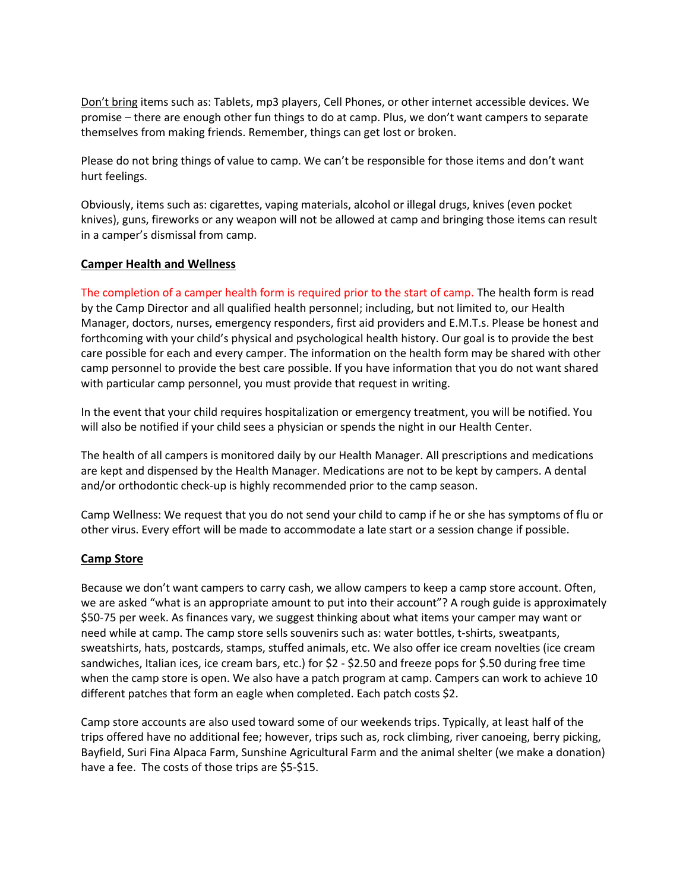Don't bring items such as: Tablets, mp3 players, Cell Phones, or other internet accessible devices. We promise – there are enough other fun things to do at camp. Plus, we don't want campers to separate themselves from making friends. Remember, things can get lost or broken.

Please do not bring things of value to camp. We can't be responsible for those items and don't want hurt feelings.

Obviously, items such as: cigarettes, vaping materials, alcohol or illegal drugs, knives (even pocket knives), guns, fireworks or any weapon will not be allowed at camp and bringing those items can result in a camper's dismissal from camp.

#### **Camper Health and Wellness**

The completion of a camper health form is required prior to the start of camp. The health form is read by the Camp Director and all qualified health personnel; including, but not limited to, our Health Manager, doctors, nurses, emergency responders, first aid providers and E.M.T.s. Please be honest and forthcoming with your child's physical and psychological health history. Our goal is to provide the best care possible for each and every camper. The information on the health form may be shared with other camp personnel to provide the best care possible. If you have information that you do not want shared with particular camp personnel, you must provide that request in writing.

In the event that your child requires hospitalization or emergency treatment, you will be notified. You will also be notified if your child sees a physician or spends the night in our Health Center.

The health of all campers is monitored daily by our Health Manager. All prescriptions and medications are kept and dispensed by the Health Manager. Medications are not to be kept by campers. A dental and/or orthodontic check-up is highly recommended prior to the camp season.

Camp Wellness: We request that you do not send your child to camp if he or she has symptoms of flu or other virus. Every effort will be made to accommodate a late start or a session change if possible.

#### **Camp Store**

Because we don't want campers to carry cash, we allow campers to keep a camp store account. Often, we are asked "what is an appropriate amount to put into their account"? A rough guide is approximately \$50-75 per week. As finances vary, we suggest thinking about what items your camper may want or need while at camp. The camp store sells souvenirs such as: water bottles, t-shirts, sweatpants, sweatshirts, hats, postcards, stamps, stuffed animals, etc. We also offer ice cream novelties (ice cream sandwiches, Italian ices, ice cream bars, etc.) for \$2 - \$2.50 and freeze pops for \$.50 during free time when the camp store is open. We also have a patch program at camp. Campers can work to achieve 10 different patches that form an eagle when completed. Each patch costs \$2.

Camp store accounts are also used toward some of our weekends trips. Typically, at least half of the trips offered have no additional fee; however, trips such as, rock climbing, river canoeing, berry picking, Bayfield, Suri Fina Alpaca Farm, Sunshine Agricultural Farm and the animal shelter (we make a donation) have a fee. The costs of those trips are \$5-\$15.